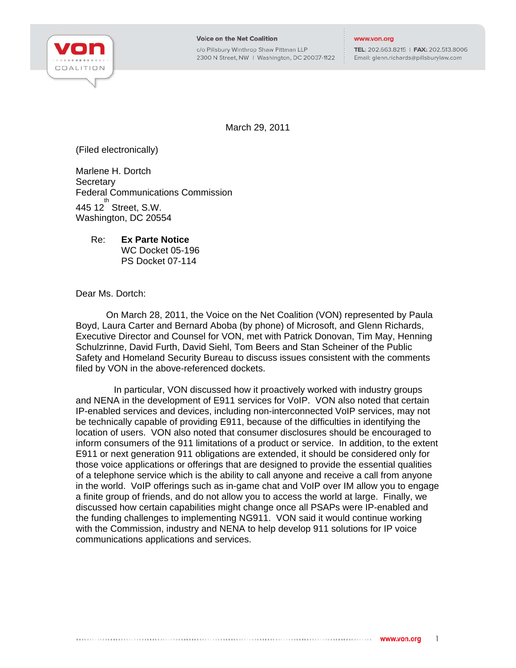

c/o Pillsbury Winthrop Shaw Pittman LLP 2300 N Street, NW | Washington, DC 20037-1122 TEL: 202.663.8215 | FAX: 202.513.8006 Email: glenn.richards@pillsburylaw.com

March 29, 2011

(Filed electronically)

Marlene H. Dortch **Secretary** Federal Communications Commission  $445$  12 $^{th}$  Street, S.W. Washington, DC 20554

Re: **Ex Parte Notice**  WC Docket 05-196 PS Docket 07-114

Dear Ms. Dortch:

On March 28, 2011, the Voice on the Net Coalition (VON) represented by Paula Boyd, Laura Carter and Bernard Aboba (by phone) of Microsoft, and Glenn Richards, Executive Director and Counsel for VON, met with Patrick Donovan, Tim May, Henning Schulzrinne, David Furth, David Siehl, Tom Beers and Stan Scheiner of the Public Safety and Homeland Security Bureau to discuss issues consistent with the comments filed by VON in the above-referenced dockets.

 In particular, VON discussed how it proactively worked with industry groups and NENA in the development of E911 services for VoIP. VON also noted that certain IP-enabled services and devices, including non-interconnected VoIP services, may not be technically capable of providing E911, because of the difficulties in identifying the location of users. VON also noted that consumer disclosures should be encouraged to inform consumers of the 911 limitations of a product or service. In addition, to the extent E911 or next generation 911 obligations are extended, it should be considered only for those voice applications or offerings that are designed to provide the essential qualities of a telephone service which is the ability to call anyone and receive a call from anyone in the world. VoIP offerings such as in-game chat and VoIP over IM allow you to engage a finite group of friends, and do not allow you to access the world at large. Finally, we discussed how certain capabilities might change once all PSAPs were IP-enabled and the funding challenges to implementing NG911. VON said it would continue working with the Commission, industry and NENA to help develop 911 solutions for IP voice communications applications and services.